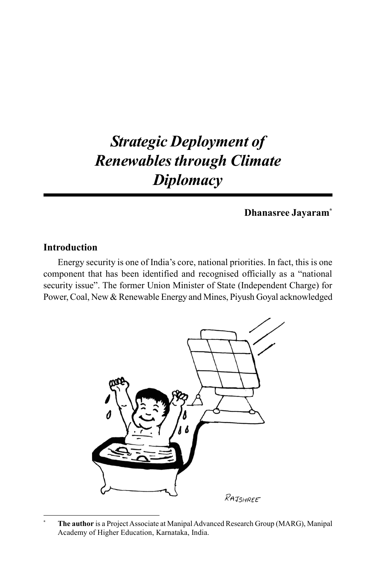# *Strategic Deployment of Renewables through Climate Diplomacy*

**Dhanasree Jayaram\***

### **Introduction**

Energy security is one of India's core, national priorities. In fact, this is one component that has been identified and recognised officially as a "national security issue". The former Union Minister of State (Independent Charge) for Power, Coal, New & Renewable Energy and Mines, Piyush Goyal acknowledged



**<sup>\*</sup> The author** is a Project Associate at Manipal Advanced Research Group (MARG), Manipal Academy of Higher Education, Karnataka, India.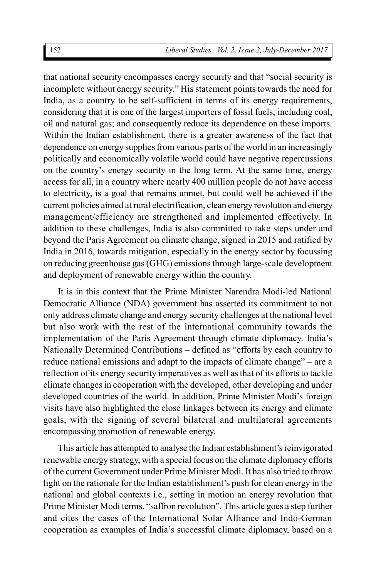that national security encompasses energy security and that "social security is incomplete without energy security." His statement points towards the need for India, as a country to be self-sufficient in terms of its energy requirements, considering that it is one of the largest importers of fossil fuels, including coal, oil and natural gas; and consequently reduce its dependence on these imports. Within the Indian establishment, there is a greater awareness of the fact that dependence on energy supplies from various parts of the world in an increasingly politically and economically volatile world could have negative repercussions on the country's energy security in the long term. At the same time, energy access for all, in a country where nearly 400 million people do not have access to electricity, is a goal that remains unmet, but could well be achieved if the current policies aimed at rural electrification, clean energy revolution and energy management/efficiency are strengthened and implemented effectively. In addition to these challenges, India is also committed to take steps under and beyond the Paris Agreement on climate change, signed in 2015 and ratified by India in 2016, towards mitigation, especially in the energy sector by focussing on reducing greenhouse gas (GHG) emissions through large-scale development and deployment of renewable energy within the country.

It is in this context that the Prime Minister Narendra Modi-led National Democratic Alliance (NDA) government has asserted its commitment to not only address climate change and energy security challenges at the national level but also work with the rest of the international community towards the implementation of the Paris Agreement through climate diplomacy. India's Nationally Determined Contributions – defined as "efforts by each country to reduce national emissions and adapt to the impacts of climate change" – are a reflection of its energy security imperatives as well as that of its efforts to tackle climate changes in cooperation with the developed, other developing and under developed countries of the world. In addition, Prime Minister Modi's foreign visits have also highlighted the close linkages between its energy and climate goals, with the signing of several bilateral and multilateral agreements encompassing promotion of renewable energy.

This article has attempted to analyse the Indian establishment's reinvigorated renewable energy strategy, with a special focus on the climate diplomacy efforts of the current Government under Prime Minister Modi. It has also tried to throw light on the rationale for the Indian establishment's push for clean energy in the national and global contexts i.e., setting in motion an energy revolution that Prime Minister Modi terms, "saffron revolution". This article goes a step further and cites the cases of the International Solar Alliance and Indo-German cooperation as examples of India's successful climate diplomacy, based on a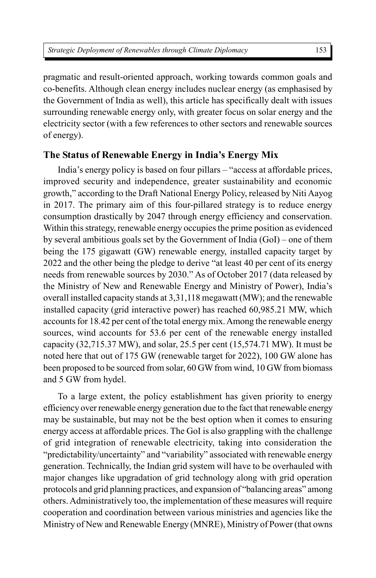pragmatic and result-oriented approach, working towards common goals and co-benefits. Although clean energy includes nuclear energy (as emphasised by the Government of India as well), this article has specifically dealt with issues surrounding renewable energy only, with greater focus on solar energy and the electricity sector (with a few references to other sectors and renewable sources of energy).

#### **The Status of Renewable Energy in India's Energy Mix**

India's energy policy is based on four pillars – "access at affordable prices, improved security and independence, greater sustainability and economic growth," according to the Draft National Energy Policy, released by Niti Aayog in 2017. The primary aim of this four-pillared strategy is to reduce energy consumption drastically by 2047 through energy efficiency and conservation. Within this strategy, renewable energy occupies the prime position as evidenced by several ambitious goals set by the Government of India (GoI) – one of them being the 175 gigawatt (GW) renewable energy, installed capacity target by 2022 and the other being the pledge to derive "at least 40 per cent of its energy needs from renewable sources by 2030." As of October 2017 (data released by the Ministry of New and Renewable Energy and Ministry of Power), India's overall installed capacity stands at 3,31,118 megawatt (MW); and the renewable installed capacity (grid interactive power) has reached 60,985.21 MW, which accounts for 18.42 per cent of the total energy mix. Among the renewable energy sources, wind accounts for 53.6 per cent of the renewable energy installed capacity (32,715.37 MW), and solar, 25.5 per cent (15,574.71 MW). It must be noted here that out of 175 GW (renewable target for 2022), 100 GW alone has been proposed to be sourced from solar, 60 GW from wind, 10 GW from biomass and 5 GW from hydel.

To a large extent, the policy establishment has given priority to energy efficiency over renewable energy generation due to the fact that renewable energy may be sustainable, but may not be the best option when it comes to ensuring energy access at affordable prices. The GoI is also grappling with the challenge of grid integration of renewable electricity, taking into consideration the "predictability/uncertainty" and "variability" associated with renewable energy generation. Technically, the Indian grid system will have to be overhauled with major changes like upgradation of grid technology along with grid operation protocols and grid planning practices, and expansion of "balancing areas" among others. Administratively too, the implementation of these measures will require cooperation and coordination between various ministries and agencies like the Ministry of New and Renewable Energy (MNRE), Ministry of Power (that owns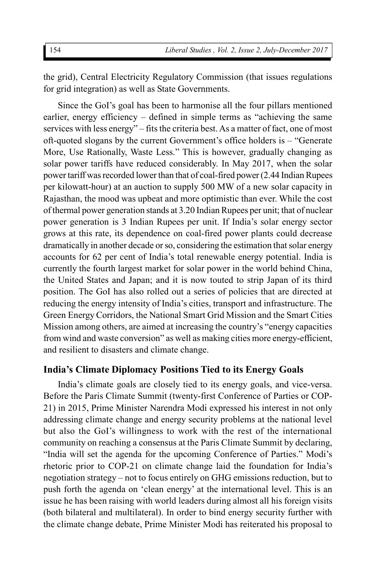the grid), Central Electricity Regulatory Commission (that issues regulations for grid integration) as well as State Governments.

Since the GoI's goal has been to harmonise all the four pillars mentioned earlier, energy efficiency – defined in simple terms as "achieving the same services with less energy" – fits the criteria best. As a matter of fact, one of most oft-quoted slogans by the current Government's office holders is – "Generate More, Use Rationally, Waste Less." This is however, gradually changing as solar power tariffs have reduced considerably. In May 2017, when the solar power tariff was recorded lower than that of coal-fired power (2.44 Indian Rupees per kilowatt-hour) at an auction to supply 500 MW of a new solar capacity in Rajasthan, the mood was upbeat and more optimistic than ever. While the cost of thermal power generation stands at 3.20 Indian Rupees per unit; that of nuclear power generation is 3 Indian Rupees per unit. If India's solar energy sector grows at this rate, its dependence on coal-fired power plants could decrease dramatically in another decade or so, considering the estimation that solar energy accounts for 62 per cent of India's total renewable energy potential. India is currently the fourth largest market for solar power in the world behind China, the United States and Japan; and it is now touted to strip Japan of its third position. The GoI has also rolled out a series of policies that are directed at reducing the energy intensity of India's cities, transport and infrastructure. The Green Energy Corridors, the National Smart Grid Mission and the Smart Cities Mission among others, are aimed at increasing the country's "energy capacities from wind and waste conversion" as well as making cities more energy-efficient, and resilient to disasters and climate change.

#### **India's Climate Diplomacy Positions Tied to its Energy Goals**

India's climate goals are closely tied to its energy goals, and vice-versa. Before the Paris Climate Summit (twenty-first Conference of Parties or COP-21) in 2015, Prime Minister Narendra Modi expressed his interest in not only addressing climate change and energy security problems at the national level but also the GoI's willingness to work with the rest of the international community on reaching a consensus at the Paris Climate Summit by declaring, "India will set the agenda for the upcoming Conference of Parties." Modi's rhetoric prior to COP-21 on climate change laid the foundation for India's negotiation strategy – not to focus entirely on GHG emissions reduction, but to push forth the agenda on 'clean energy' at the international level. This is an issue he has been raising with world leaders during almost all his foreign visits (both bilateral and multilateral). In order to bind energy security further with the climate change debate, Prime Minister Modi has reiterated his proposal to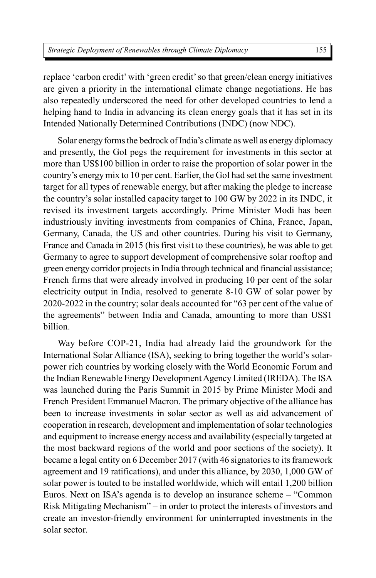replace 'carbon credit' with 'green credit' so that green/clean energy initiatives are given a priority in the international climate change negotiations. He has also repeatedly underscored the need for other developed countries to lend a helping hand to India in advancing its clean energy goals that it has set in its Intended Nationally Determined Contributions (INDC) (now NDC).

Solar energy forms the bedrock of India's climate as well as energy diplomacy and presently, the GoI pegs the requirement for investments in this sector at more than US\$100 billion in order to raise the proportion of solar power in the country's energy mix to 10 per cent. Earlier, the GoI had set the same investment target for all types of renewable energy, but after making the pledge to increase the country's solar installed capacity target to 100 GW by 2022 in its INDC, it revised its investment targets accordingly. Prime Minister Modi has been industriously inviting investments from companies of China, France, Japan, Germany, Canada, the US and other countries. During his visit to Germany, France and Canada in 2015 (his first visit to these countries), he was able to get Germany to agree to support development of comprehensive solar rooftop and green energy corridor projects in India through technical and financial assistance; French firms that were already involved in producing 10 per cent of the solar electricity output in India, resolved to generate 8-10 GW of solar power by 2020-2022 in the country; solar deals accounted for "63 per cent of the value of the agreements" between India and Canada, amounting to more than US\$1 billion.

Way before COP-21, India had already laid the groundwork for the International Solar Alliance (ISA), seeking to bring together the world's solarpower rich countries by working closely with the World Economic Forum and the Indian Renewable Energy Development Agency Limited (IREDA). The ISA was launched during the Paris Summit in 2015 by Prime Minister Modi and French President Emmanuel Macron. The primary objective of the alliance has been to increase investments in solar sector as well as aid advancement of cooperation in research, development and implementation of solar technologies and equipment to increase energy access and availability (especially targeted at the most backward regions of the world and poor sections of the society). It became a legal entity on 6 December 2017 (with 46 signatories to its framework agreement and 19 ratifications), and under this alliance, by 2030, 1,000 GW of solar power is touted to be installed worldwide, which will entail 1,200 billion Euros. Next on ISA's agenda is to develop an insurance scheme – "Common Risk Mitigating Mechanism" – in order to protect the interests of investors and create an investor-friendly environment for uninterrupted investments in the solar sector.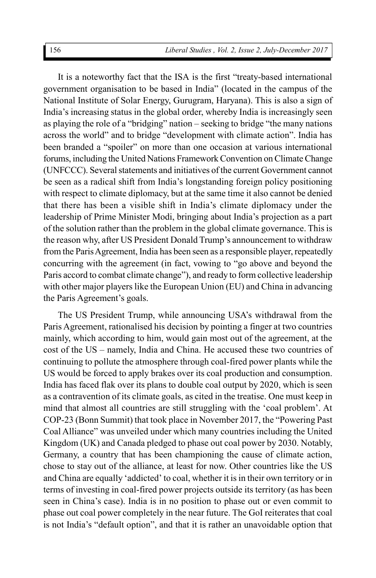It is a noteworthy fact that the ISA is the first "treaty-based international government organisation to be based in India" (located in the campus of the National Institute of Solar Energy, Gurugram, Haryana). This is also a sign of India's increasing status in the global order, whereby India is increasingly seen as playing the role of a "bridging" nation – seeking to bridge "the many nations across the world" and to bridge "development with climate action". India has been branded a "spoiler" on more than one occasion at various international forums, including the United Nations Framework Convention on Climate Change (UNFCCC). Several statements and initiatives of the current Government cannot be seen as a radical shift from India's longstanding foreign policy positioning with respect to climate diplomacy, but at the same time it also cannot be denied that there has been a visible shift in India's climate diplomacy under the leadership of Prime Minister Modi, bringing about India's projection as a part of the solution rather than the problem in the global climate governance. This is the reason why, after US President Donald Trump's announcement to withdraw from the Paris Agreement, India has been seen as a responsible player, repeatedly concurring with the agreement (in fact, vowing to "go above and beyond the Paris accord to combat climate change"), and ready to form collective leadership with other major players like the European Union (EU) and China in advancing the Paris Agreement's goals.

The US President Trump, while announcing USA's withdrawal from the Paris Agreement, rationalised his decision by pointing a finger at two countries mainly, which according to him, would gain most out of the agreement, at the cost of the US – namely, India and China. He accused these two countries of continuing to pollute the atmosphere through coal-fired power plants while the US would be forced to apply brakes over its coal production and consumption. India has faced flak over its plans to double coal output by 2020, which is seen as a contravention of its climate goals, as cited in the treatise. One must keep in mind that almost all countries are still struggling with the 'coal problem'. At COP-23 (Bonn Summit) that took place in November 2017, the "Powering Past Coal Alliance" was unveiled under which many countries including the United Kingdom (UK) and Canada pledged to phase out coal power by 2030. Notably, Germany, a country that has been championing the cause of climate action, chose to stay out of the alliance, at least for now. Other countries like the US and China are equally 'addicted' to coal, whether it is in their own territory or in terms of investing in coal-fired power projects outside its territory (as has been seen in China's case). India is in no position to phase out or even commit to phase out coal power completely in the near future. The GoI reiterates that coal is not India's "default option", and that it is rather an unavoidable option that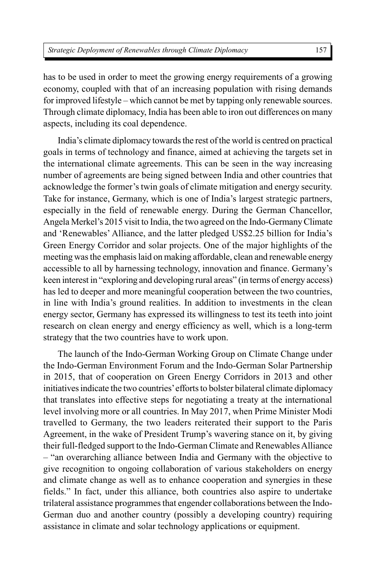has to be used in order to meet the growing energy requirements of a growing economy, coupled with that of an increasing population with rising demands for improved lifestyle – which cannot be met by tapping only renewable sources. Through climate diplomacy, India has been able to iron out differences on many aspects, including its coal dependence.

India's climate diplomacy towards the rest of the world is centred on practical goals in terms of technology and finance, aimed at achieving the targets set in the international climate agreements. This can be seen in the way increasing number of agreements are being signed between India and other countries that acknowledge the former's twin goals of climate mitigation and energy security. Take for instance, Germany, which is one of India's largest strategic partners, especially in the field of renewable energy. During the German Chancellor, Angela Merkel's 2015 visit to India, the two agreed on the Indo-Germany Climate and 'Renewables' Alliance, and the latter pledged US\$2.25 billion for India's Green Energy Corridor and solar projects. One of the major highlights of the meeting was the emphasis laid on making affordable, clean and renewable energy accessible to all by harnessing technology, innovation and finance. Germany's keen interest in "exploring and developing rural areas" (in terms of energy access) has led to deeper and more meaningful cooperation between the two countries, in line with India's ground realities. In addition to investments in the clean energy sector, Germany has expressed its willingness to test its teeth into joint research on clean energy and energy efficiency as well, which is a long-term strategy that the two countries have to work upon.

The launch of the Indo-German Working Group on Climate Change under the Indo-German Environment Forum and the Indo-German Solar Partnership in 2015, that of cooperation on Green Energy Corridors in 2013 and other initiatives indicate the two countries' efforts to bolster bilateral climate diplomacy that translates into effective steps for negotiating a treaty at the international level involving more or all countries. In May 2017, when Prime Minister Modi travelled to Germany, the two leaders reiterated their support to the Paris Agreement, in the wake of President Trump's wavering stance on it, by giving their full-fledged support to the Indo-German Climate and Renewables Alliance – "an overarching alliance between India and Germany with the objective to give recognition to ongoing collaboration of various stakeholders on energy and climate change as well as to enhance cooperation and synergies in these fields." In fact, under this alliance, both countries also aspire to undertake trilateral assistance programmes that engender collaborations between the Indo-German duo and another country (possibly a developing country) requiring assistance in climate and solar technology applications or equipment.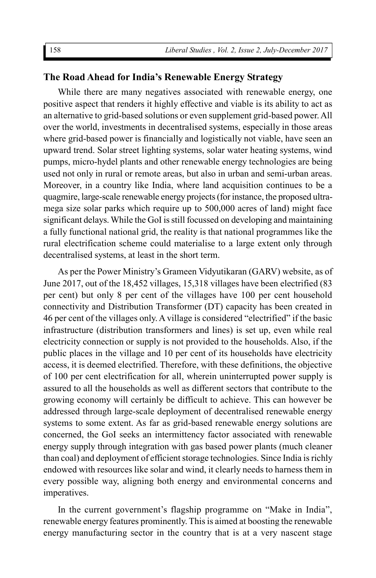## **The Road Ahead for India's Renewable Energy Strategy**

While there are many negatives associated with renewable energy, one positive aspect that renders it highly effective and viable is its ability to act as an alternative to grid-based solutions or even supplement grid-based power. All over the world, investments in decentralised systems, especially in those areas where grid-based power is financially and logistically not viable, have seen an upward trend. Solar street lighting systems, solar water heating systems, wind pumps, micro-hydel plants and other renewable energy technologies are being used not only in rural or remote areas, but also in urban and semi-urban areas. Moreover, in a country like India, where land acquisition continues to be a quagmire, large-scale renewable energy projects (for instance, the proposed ultramega size solar parks which require up to 500,000 acres of land) might face significant delays. While the GoI is still focussed on developing and maintaining a fully functional national grid, the reality is that national programmes like the rural electrification scheme could materialise to a large extent only through decentralised systems, at least in the short term.

As per the Power Ministry's Grameen Vidyutikaran (GARV) website, as of June 2017, out of the 18,452 villages, 15,318 villages have been electrified (83 per cent) but only 8 per cent of the villages have 100 per cent household connectivity and Distribution Transformer (DT) capacity has been created in 46 per cent of the villages only. A village is considered "electrified" if the basic infrastructure (distribution transformers and lines) is set up, even while real electricity connection or supply is not provided to the households. Also, if the public places in the village and 10 per cent of its households have electricity access, it is deemed electrified. Therefore, with these definitions, the objective of 100 per cent electrification for all, wherein uninterrupted power supply is assured to all the households as well as different sectors that contribute to the growing economy will certainly be difficult to achieve. This can however be addressed through large-scale deployment of decentralised renewable energy systems to some extent. As far as grid-based renewable energy solutions are concerned, the GoI seeks an intermittency factor associated with renewable energy supply through integration with gas based power plants (much cleaner than coal) and deployment of efficient storage technologies. Since India is richly endowed with resources like solar and wind, it clearly needs to harness them in every possible way, aligning both energy and environmental concerns and imperatives.

In the current government's flagship programme on "Make in India", renewable energy features prominently. This is aimed at boosting the renewable energy manufacturing sector in the country that is at a very nascent stage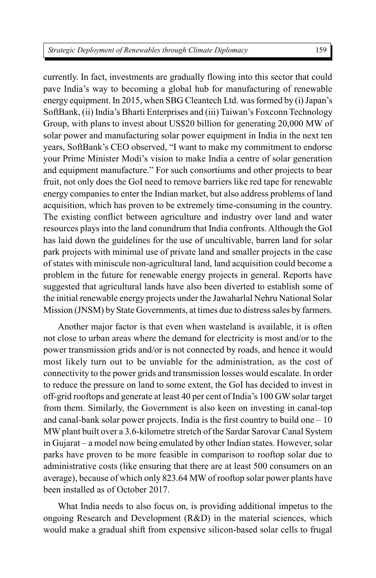currently. In fact, investments are gradually flowing into this sector that could pave India's way to becoming a global hub for manufacturing of renewable energy equipment. In 2015, when SBG Cleantech Ltd. was formed by (i) Japan's SoftBank, (ii) India's Bharti Enterprises and (iii) Taiwan's Foxconn Technology Group, with plans to invest about US\$20 billion for generating 20,000 MW of solar power and manufacturing solar power equipment in India in the next ten years, SoftBank's CEO observed, "I want to make my commitment to endorse your Prime Minister Modi's vision to make India a centre of solar generation and equipment manufacture." For such consortiums and other projects to bear fruit, not only does the GoI need to remove barriers like red tape for renewable energy companies to enter the Indian market, but also address problems of land acquisition, which has proven to be extremely time-consuming in the country. The existing conflict between agriculture and industry over land and water resources plays into the land conundrum that India confronts. Although the GoI has laid down the guidelines for the use of uncultivable, barren land for solar park projects with minimal use of private land and smaller projects in the case of states with miniscule non-agricultural land, land acquisition could become a problem in the future for renewable energy projects in general. Reports have suggested that agricultural lands have also been diverted to establish some of the initial renewable energy projects under the Jawaharlal Nehru National Solar Mission (JNSM) by State Governments, at times due to distress sales by farmers.

Another major factor is that even when wasteland is available, it is often not close to urban areas where the demand for electricity is most and/or to the power transmission grids and/or is not connected by roads, and hence it would most likely turn out to be unviable for the administration, as the cost of connectivity to the power grids and transmission losses would escalate. In order to reduce the pressure on land to some extent, the GoI has decided to invest in off-grid rooftops and generate at least 40 per cent of India's 100 GW solar target from them. Similarly, the Government is also keen on investing in canal-top and canal-bank solar power projects. India is the first country to build one  $-10$ MW plant built over a 3.6-kilometre stretch of the Sardar Sarovar Canal System in Gujarat – a model now being emulated by other Indian states. However, solar parks have proven to be more feasible in comparison to rooftop solar due to administrative costs (like ensuring that there are at least 500 consumers on an average), because of which only 823.64 MW of rooftop solar power plants have been installed as of October 2017.

What India needs to also focus on, is providing additional impetus to the ongoing Research and Development (R&D) in the material sciences, which would make a gradual shift from expensive silicon-based solar cells to frugal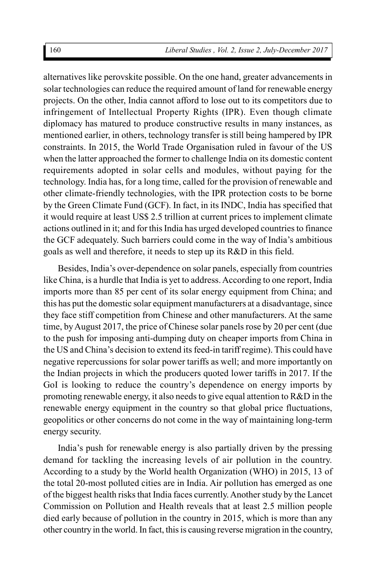alternatives like perovskite possible. On the one hand, greater advancements in solar technologies can reduce the required amount of land for renewable energy projects. On the other, India cannot afford to lose out to its competitors due to infringement of Intellectual Property Rights (IPR). Even though climate diplomacy has matured to produce constructive results in many instances, as mentioned earlier, in others, technology transfer is still being hampered by IPR constraints. In 2015, the World Trade Organisation ruled in favour of the US when the latter approached the former to challenge India on its domestic content requirements adopted in solar cells and modules, without paying for the technology. India has, for a long time, called for the provision of renewable and other climate-friendly technologies, with the IPR protection costs to be borne by the Green Climate Fund (GCF). In fact, in its INDC, India has specified that it would require at least US\$ 2.5 trillion at current prices to implement climate actions outlined in it; and for this India has urged developed countries to finance the GCF adequately. Such barriers could come in the way of India's ambitious goals as well and therefore, it needs to step up its R&D in this field.

Besides, India's over-dependence on solar panels, especially from countries like China, is a hurdle that India is yet to address. According to one report, India imports more than 85 per cent of its solar energy equipment from China; and this has put the domestic solar equipment manufacturers at a disadvantage, since they face stiff competition from Chinese and other manufacturers. At the same time, by August 2017, the price of Chinese solar panels rose by 20 per cent (due to the push for imposing anti-dumping duty on cheaper imports from China in the US and China's decision to extend its feed-in tariff regime). This could have negative repercussions for solar power tariffs as well; and more importantly on the Indian projects in which the producers quoted lower tariffs in 2017. If the GoI is looking to reduce the country's dependence on energy imports by promoting renewable energy, it also needs to give equal attention to R&D in the renewable energy equipment in the country so that global price fluctuations, geopolitics or other concerns do not come in the way of maintaining long-term energy security.

India's push for renewable energy is also partially driven by the pressing demand for tackling the increasing levels of air pollution in the country. According to a study by the World health Organization (WHO) in 2015, 13 of the total 20-most polluted cities are in India. Air pollution has emerged as one of the biggest health risks that India faces currently. Another study by the Lancet Commission on Pollution and Health reveals that at least 2.5 million people died early because of pollution in the country in 2015, which is more than any other country in the world. In fact, this is causing reverse migration in the country,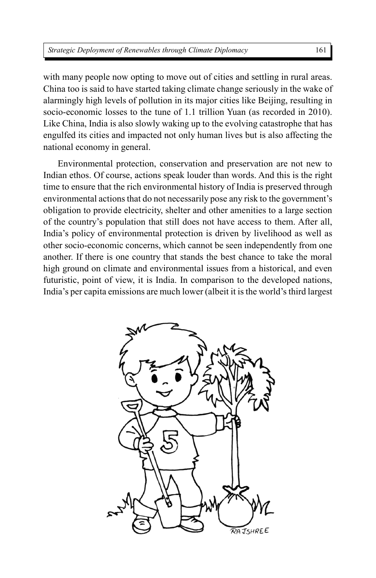with many people now opting to move out of cities and settling in rural areas. China too is said to have started taking climate change seriously in the wake of alarmingly high levels of pollution in its major cities like Beijing, resulting in socio-economic losses to the tune of 1.1 trillion Yuan (as recorded in 2010). Like China, India is also slowly waking up to the evolving catastrophe that has engulfed its cities and impacted not only human lives but is also affecting the national economy in general.

Environmental protection, conservation and preservation are not new to Indian ethos. Of course, actions speak louder than words. And this is the right time to ensure that the rich environmental history of India is preserved through environmental actions that do not necessarily pose any risk to the government's obligation to provide electricity, shelter and other amenities to a large section of the country's population that still does not have access to them. After all, India's policy of environmental protection is driven by livelihood as well as other socio-economic concerns, which cannot be seen independently from one another. If there is one country that stands the best chance to take the moral high ground on climate and environmental issues from a historical, and even futuristic, point of view, it is India. In comparison to the developed nations, India's per capita emissions are much lower (albeit it is the world's third largest